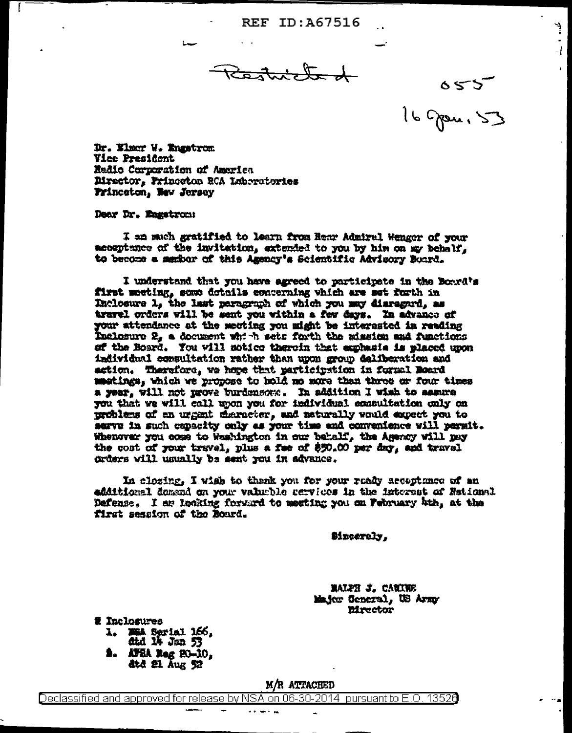**REF ID: A67516** 

Restricted

Ļ.

-1

055<br>16 grou, 53

Dr. Elmer W. Engstrom Vice President Radio Corporation of America Director, Princeton RCA Laboratories Frincaton, New Jersey

Dear Dr. Engetrom:

**I am much gratified to learn from Rear Admiral Wenger of your** acceptance of the invitation, extended to you by him on my behalf, to become a member of this Agency's Scientific Advisory Board.

I understand that you have agreed to participate in the Board's first meeting, some details concerning which are set forth in Inclosure 1, the last paragraph of which you may disregard, as travel orders will be sent you within a few days. In advance of your attendance at the meeting you might be interested in reading Inclosure 2, a document which sets forth the mission and functions of the Board. You will notice therein that explans as placed upon individual commultation rather than upon group deliberation and action. Therefore, we hope that participation in formal Board meetings, which we propose to hold no more than three or four times a year, will not prove burdensome. In addition I wish to assure you that we will call upon you for individual emaultation only on problems of an urgant character, and naturally would expect you to serve in such capacity only as your time and convenience will permit. Whenever you cose to Washington in our behalf, the Agency will pay the cost of your travel, plus a fee of \$50.00 per day, and travel orders will usually be sent you in advance.

In closing, I wish to thenk you for your raddy acceptance of an edditional domand on your valueble cervices in the interest of National Defense. I ar looking forward to meeting you on February 4th, at the first session of the Board.

\$incerely,

**MALPH J. CANINE** Major General, US Army **Mrector** 

2 Inclosures 1. WEA Serial 166, ata 14 Jan 53 **2.** APEA Reg 20-10, ate 21 Aug 52

M/R ATTACHED

Declassified and approved for release by NSA on 06-30-2014 pursuant to E.O. 13526